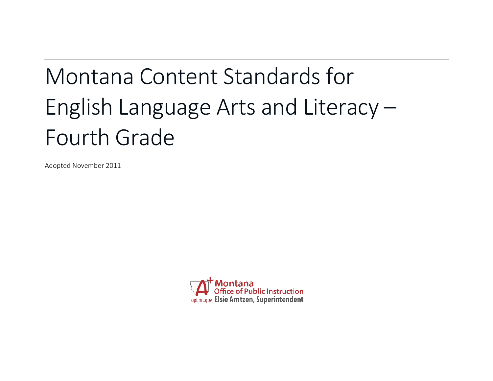# Montana Content Standards for English Language Arts and Literacy – Fourth Grade

Adopted November 2011

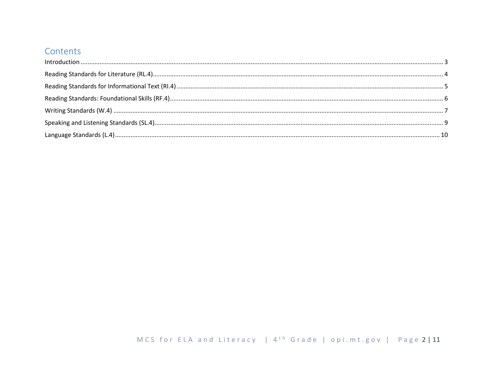## Contents

| $\label{f:1} \mbox{Introduction} \,\, \ldots \,\, \ldots \,\, \ldots \,\, \ldots \,\, \ldots \,\, \ldots \,\, \ldots \,\, \ldots \,\, \ldots \,\, \ldots \,\, \ldots \,\, \ldots \,\, \ldots \,\, \ldots \,\, \ldots \,\, \ldots \,\, \ldots \,\, \ldots \,\, \ldots \,\, \ldots \,\, \ldots \,\, \ldots \,\, \ldots \,\, \ldots \,\, \ldots \,\, \ldots \,\, \ldots \,\, \ldots \,\, \ldots \,\, \ldots \,\, \ldots \,\, \ldots \,\, \ldots \,\, \ldots \,\,$ |  |
|----------------------------------------------------------------------------------------------------------------------------------------------------------------------------------------------------------------------------------------------------------------------------------------------------------------------------------------------------------------------------------------------------------------------------------------------------------------|--|
|                                                                                                                                                                                                                                                                                                                                                                                                                                                                |  |
|                                                                                                                                                                                                                                                                                                                                                                                                                                                                |  |
|                                                                                                                                                                                                                                                                                                                                                                                                                                                                |  |
|                                                                                                                                                                                                                                                                                                                                                                                                                                                                |  |
|                                                                                                                                                                                                                                                                                                                                                                                                                                                                |  |
|                                                                                                                                                                                                                                                                                                                                                                                                                                                                |  |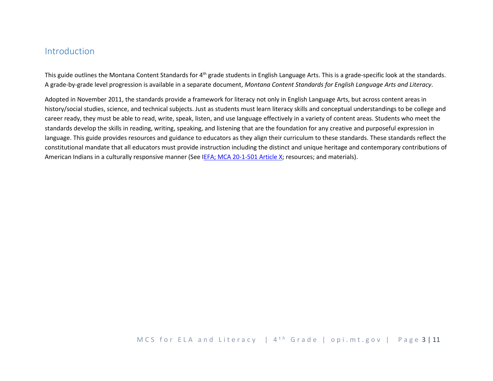### <span id="page-2-0"></span>Introduction

This guide outlines the Montana Content Standards for  $4<sup>th</sup>$  grade students in English Language Arts. This is a grade-specific look at the standards. A grade-by-grade level progression is available in a separate document, *Montana Content Standards for English Language Arts and Literacy*.

Adopted in November 2011, the standards provide a framework for literacy not only in English Language Arts, but across content areas in history/social studies, science, and technical subjects. Just as students must learn literacy skills and conceptual understandings to be college and career ready, they must be able to read, write, speak, listen, and use language effectively in a variety of content areas. Students who meet the standards develop the skills in reading, writing, speaking, and listening that are the foundation for any creative and purposeful expression in language. This guide provides resources and guidance to educators as they align their curriculum to these standards. These standards reflect the constitutional mandate that all educators must provide instruction including the distinct and unique heritage and contemporary contributions of American Indians in a culturally responsive manner (See [IEFA; MCA 20-1-501 Article X;](http://www.opi.mt.gov/PDF/IndianEd/Resources/ArticleX_IEFA.pdf) resources; and materials).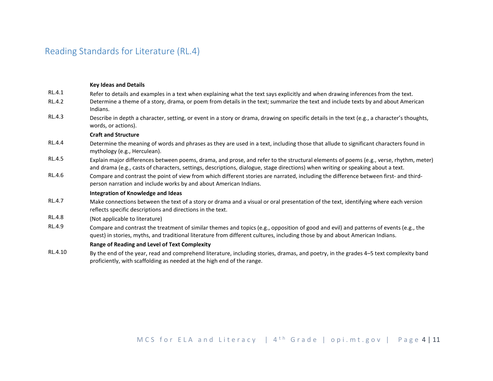## <span id="page-3-0"></span>Reading Standards for Literature (RL.4)

|               | <b>Key Ideas and Details</b>                                                                                                                                                                                                                                              |
|---------------|---------------------------------------------------------------------------------------------------------------------------------------------------------------------------------------------------------------------------------------------------------------------------|
| RL.4.1        | Refer to details and examples in a text when explaining what the text says explicitly and when drawing inferences from the text.                                                                                                                                          |
| RL.4.2        | Determine a theme of a story, drama, or poem from details in the text; summarize the text and include texts by and about American<br>Indians.                                                                                                                             |
| RL.4.3        | Describe in depth a character, setting, or event in a story or drama, drawing on specific details in the text (e.g., a character's thoughts,<br>words, or actions).                                                                                                       |
|               | <b>Craft and Structure</b>                                                                                                                                                                                                                                                |
| RL.4.4        | Determine the meaning of words and phrases as they are used in a text, including those that allude to significant characters found in<br>mythology (e.g., Herculean).                                                                                                     |
| RL.4.5        | Explain major differences between poems, drama, and prose, and refer to the structural elements of poems (e.g., verse, rhythm, meter)<br>and drama (e.g., casts of characters, settings, descriptions, dialogue, stage directions) when writing or speaking about a text. |
| RL.4.6        | Compare and contrast the point of view from which different stories are narrated, including the difference between first- and third-<br>person narration and include works by and about American Indians.                                                                 |
|               | Integration of Knowledge and Ideas                                                                                                                                                                                                                                        |
| RL.4.7        | Make connections between the text of a story or drama and a visual or oral presentation of the text, identifying where each version<br>reflects specific descriptions and directions in the text.                                                                         |
| <b>RL.4.8</b> | (Not applicable to literature)                                                                                                                                                                                                                                            |
| RL.4.9        | Compare and contrast the treatment of similar themes and topics (e.g., opposition of good and evil) and patterns of events (e.g., the<br>quest) in stories, myths, and traditional literature from different cultures, including those by and about American Indians.     |
|               | <b>Range of Reading and Level of Text Complexity</b>                                                                                                                                                                                                                      |
| RL.4.10       | By the end of the year, read and comprehend literature, including stories, dramas, and poetry, in the grades 4-5 text complexity band<br>proficiently, with scaffolding as needed at the high end of the range.                                                           |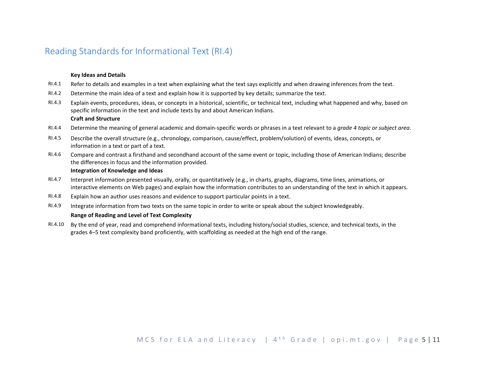## <span id="page-4-0"></span>Reading Standards for Informational Text (RI.4)

#### **Key Ideas and Details**

- RI.4.1 Refer to details and examples in a text when explaining what the text says explicitly and when drawing inferences from the text.
- RI.4.2 Determine the main idea of a text and explain how it is supported by key details; summarize the text.
- RI.4.3 Explain events, procedures, ideas, or concepts in a historical, scientific, or technical text, including what happened and why, based on specific information in the text and include texts by and about American Indians. **Craft and Structure**
- RI.4.4 Determine the meaning of general academic and domain-specific words or phrases in a text relevant to a *grade 4 topic or subject area*.
- RI.4.5 Describe the overall structure (e.g., chronology, comparison, cause/effect, problem/solution) of events, ideas, concepts, or information in a text or part of a text.
- RI.4.6 Compare and contrast a firsthand and secondhand account of the same event or topic, including those of American Indians; describe the differences in focus and the information provided.

#### **Integration of Knowledge and Ideas**

- RI.4.7 Interpret information presented visually, orally, or quantitatively (e.g., in charts, graphs, diagrams, time lines, animations, or interactive elements on Web pages) and explain how the information contributes to an understanding of the text in which it appears.
- RI.4.8 Explain how an author uses reasons and evidence to support particular points in a text.
- RI.4.9 Integrate information from two texts on the same topic in order to write or speak about the subject knowledgeably.

#### **Range of Reading and Level of Text Complexity**

RI.4.10 By the end of year, read and comprehend informational texts, including history/social studies, science, and technical texts, in the grades 4–5 text complexity band proficiently, with scaffolding as needed at the high end of the range.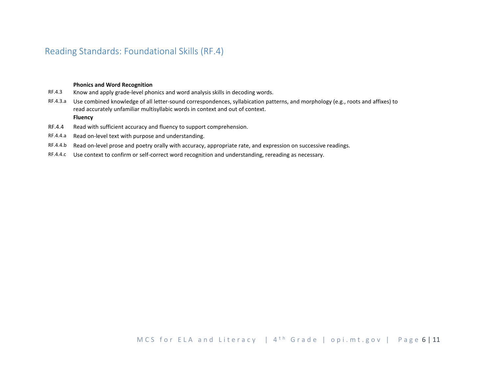## <span id="page-5-0"></span>Reading Standards: Foundational Skills (RF.4)

#### **Phonics and Word Recognition**

- RF.4.3 Know and apply grade-level phonics and word analysis skills in decoding words.
- RF.4.3.a Use combined knowledge of all letter-sound correspondences, syllabication patterns, and morphology (e.g., roots and affixes) to read accurately unfamiliar multisyllabic words in context and out of context.

#### **Fluency**

- RF.4.4 Read with sufficient accuracy and fluency to support comprehension.
- RF.4.4.a Read on-level text with purpose and understanding.
- RF.4.4.b Read on-level prose and poetry orally with accuracy, appropriate rate, and expression on successive readings.
- RF.4.4.c Use context to confirm or self-correct word recognition and understanding, rereading as necessary.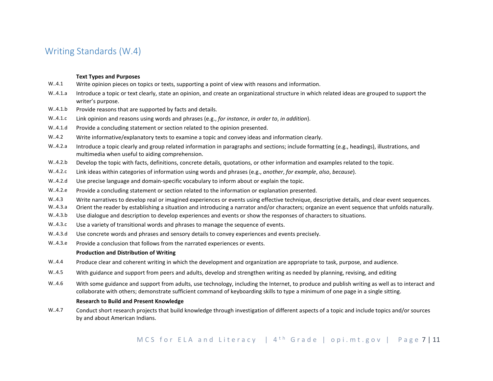## <span id="page-6-0"></span>Writing Standards (W.4)

#### **Text Types and Purposes**

- W..4.1 Write opinion pieces on topics or texts, supporting a point of view with reasons and information.
- W..4.1.a Introduce a topic or text clearly, state an opinion, and create an organizational structure in which related ideas are grouped to support the writer's purpose.
- W..4.1.b Provide reasons that are supported by facts and details.
- W..4.1.c Link opinion and reasons using words and phrases (e.g., *for instance*, *in order to*, *in addition*).
- W..4.1.d Provide a concluding statement or section related to the opinion presented.
- W..4.2 Write informative/explanatory texts to examine a topic and convey ideas and information clearly.
- W..4.2.a Introduce a topic clearly and group related information in paragraphs and sections; include formatting (e.g., headings), illustrations, and multimedia when useful to aiding comprehension.
- W..4.2.b Develop the topic with facts, definitions, concrete details, quotations, or other information and examples related to the topic.
- W..4.2.c Link ideas within categories of information using words and phrases (e.g., *another*, *for example*, *also*, *because*).
- W..4.2.d Use precise language and domain-specific vocabulary to inform about or explain the topic.
- W..4.2.e Provide a concluding statement or section related to the information or explanation presented.
- W..4.3 Write narratives to develop real or imagined experiences or events using effective technique, descriptive details, and clear event sequences.
- W..4.3.a Orient the reader by establishing a situation and introducing a narrator and/or characters; organize an event sequence that unfolds naturally.
- W..4.3.b Use dialogue and description to develop experiences and events or show the responses of characters to situations.
- W..4.3.c Use a variety of transitional words and phrases to manage the sequence of events.
- W..4.3.d Use concrete words and phrases and sensory details to convey experiences and events precisely.
- W..4.3.e Provide a conclusion that follows from the narrated experiences or events.

#### **Production and Distribution of Writing**

- W..4.4 Produce clear and coherent writing in which the development and organization are appropriate to task, purpose, and audience.
- W..4.5 With guidance and support from peers and adults, develop and strengthen writing as needed by planning, revising, and editing
- W..4.6 With some guidance and support from adults, use technology, including the Internet, to produce and publish writing as well as to interact and collaborate with others; demonstrate sufficient command of keyboarding skills to type a minimum of one page in a single sitting.

#### **Research to Build and Present Knowledge**

W..4.7 Conduct short research projects that build knowledge through investigation of different aspects of a topic and include topics and/or sources by and about American Indians.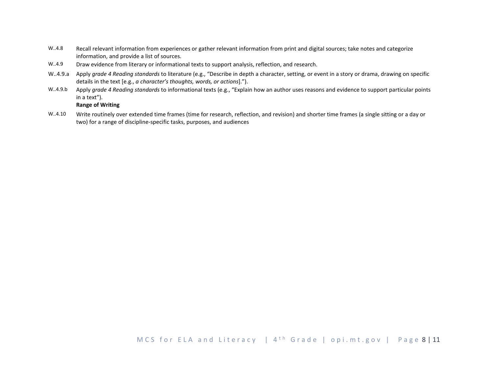- W..4.8 Recall relevant information from experiences or gather relevant information from print and digital sources; take notes and categorize information, and provide a list of sources.
- W..4.9 Draw evidence from literary or informational texts to support analysis, reflection, and research.
- W..4.9.a Apply *grade 4 Reading standards* to literature (e.g., "Describe in depth a character, setting, or event in a story or drama, drawing on specific details in the text [e.g., *a character's thoughts, words, or actions*].").
- W..4.9.b Apply *grade 4 Reading standards* to informational texts (e.g., "Explain how an author uses reasons and evidence to support particular points in a text").

#### **Range of Writing**

W..4.10 Write routinely over extended time frames (time for research, reflection, and revision) and shorter time frames (a single sitting or a day or two) for a range of discipline-specific tasks, purposes, and audiences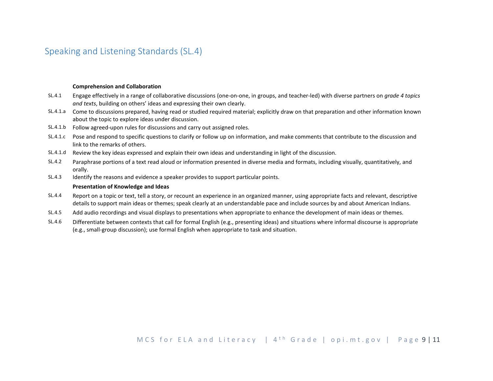## <span id="page-8-0"></span>Speaking and Listening Standards (SL.4)

#### **Comprehension and Collaboration**

- SL.4.1 Engage effectively in a range of collaborative discussions (one-on-one, in groups, and teacher-led) with diverse partners on *grade 4 topics and texts*, building on others' ideas and expressing their own clearly.
- SL.4.1.a Come to discussions prepared, having read or studied required material; explicitly draw on that preparation and other information known about the topic to explore ideas under discussion.
- SL.4.1.b Follow agreed-upon rules for discussions and carry out assigned roles.
- SL.4.1.c Pose and respond to specific questions to clarify or follow up on information, and make comments that contribute to the discussion and link to the remarks of others.
- SL.4.1.d Review the key ideas expressed and explain their own ideas and understanding in light of the discussion.
- SL.4.2 Paraphrase portions of a text read aloud or information presented in diverse media and formats, including visually, quantitatively, and orally.
- SL.4.3 Identify the reasons and evidence a speaker provides to support particular points.

#### **Presentation of Knowledge and Ideas**

- SL.4.4 Report on a topic or text, tell a story, or recount an experience in an organized manner, using appropriate facts and relevant, descriptive details to support main ideas or themes; speak clearly at an understandable pace and include sources by and about American Indians.
- SL.4.5 Add audio recordings and visual displays to presentations when appropriate to enhance the development of main ideas or themes.
- SL.4.6 Differentiate between contexts that call for formal English (e.g., presenting ideas) and situations where informal discourse is appropriate (e.g., small-group discussion); use formal English when appropriate to task and situation.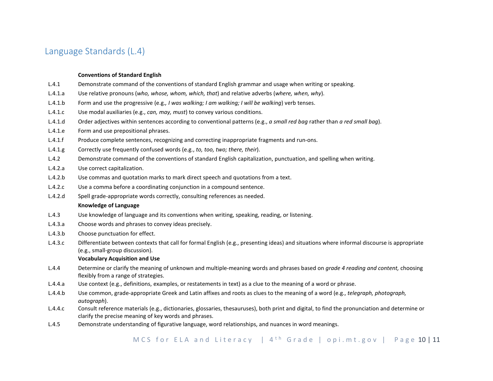## <span id="page-9-0"></span>Language Standards (L.4)

#### **Conventions of Standard English**

- L.4.1 Demonstrate command of the conventions of standard English grammar and usage when writing or speaking.
- L.4.1.a Use relative pronouns (*who, whose, whom, which, that*) and relative adverbs (*where, when, why*).
- L.4.1.b Form and use the progressive (e.g.*, I was walking; I am walking; I will be walking*) verb tenses.
- L.4.1.c Use modal auxiliaries (e.g., *can, may, must*) to convey various conditions.
- L.4.1.d Order adjectives within sentences according to conventional patterns (e.g., *a small red bag* rather than *a red small bag*).
- L.4.1.e Form and use prepositional phrases.
- L.4.1.f Produce complete sentences, recognizing and correcting inappropriate fragments and run-ons.
- L.4.1.g Correctly use frequently confused words (e.g., *to, too, two; there, their*).
- L.4.2 Demonstrate command of the conventions of standard English capitalization, punctuation, and spelling when writing.
- L.4.2.a Use correct capitalization.
- L.4.2.b Use commas and quotation marks to mark direct speech and quotations from a text.
- L.4.2.c Use a comma before a coordinating conjunction in a compound sentence.
- L.4.2.d Spell grade-appropriate words correctly, consulting references as needed.

#### **Knowledge of Language**

- L.4.3 Use knowledge of language and its conventions when writing, speaking, reading, or listening.
- L.4.3.a Choose words and phrases to convey ideas precisely.
- L.4.3.b Choose punctuation for effect.
- L.4.3.c Differentiate between contexts that call for formal English (e.g., presenting ideas) and situations where informal discourse is appropriate (e.g., small-group discussion).

#### **Vocabulary Acquisition and Use**

- L.4.4 Determine or clarify the meaning of unknown and multiple-meaning words and phrases based on *grade 4 reading and content,* choosing flexibly from a range of strategies.
- L.4.4.a Use context (e.g., definitions, examples, or restatements in text) as a clue to the meaning of a word or phrase.
- L.4.4.b Use common, grade-appropriate Greek and Latin affixes and roots as clues to the meaning of a word (e.g., *telegraph, photograph, autograph*).
- L.4.4.c Consult reference materials (e.g., dictionaries, glossaries, thesauruses), both print and digital, to find the pronunciation and determine or clarify the precise meaning of key words and phrases.
- L.4.5 Demonstrate understanding of figurative language, word relationships, and nuances in word meanings.